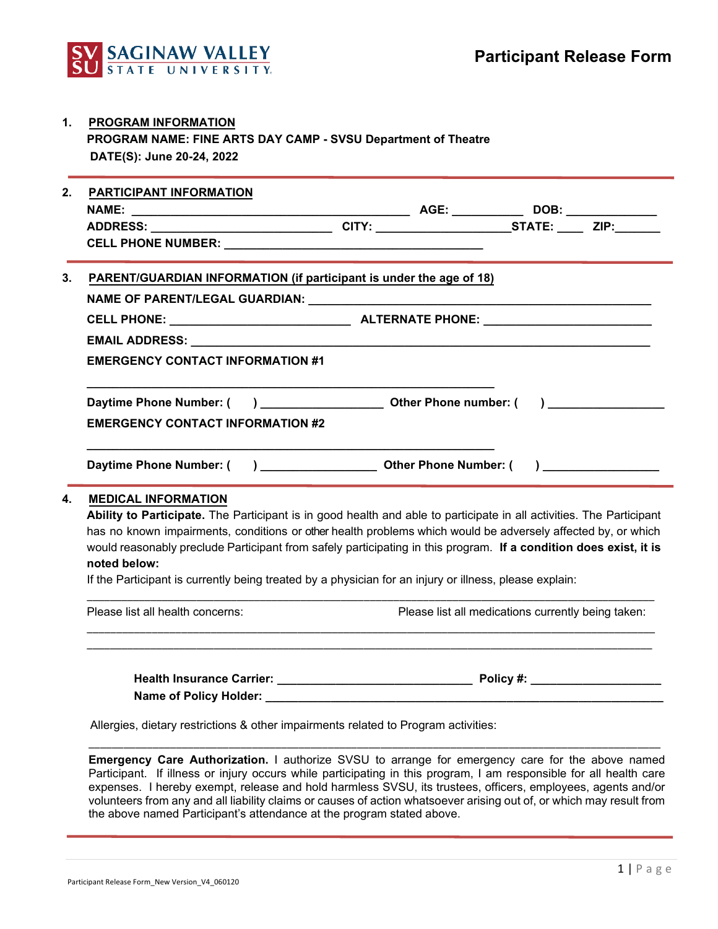

| <b>PROGRAM INFORMATION</b>                                    |
|---------------------------------------------------------------|
| PROGRAM NAME: FINE ARTS DAY CAMP - SVSU Department of Theatre |
| DATE(S): June 20-24, 2022                                     |

| 2. | <b>PARTICIPANT INFORMATION</b>                                                                      |  |  |  |  |  |  |
|----|-----------------------------------------------------------------------------------------------------|--|--|--|--|--|--|
|    | ADDRESS: _______________________________CITY: ________________________STATE: _______ZIP:___________ |  |  |  |  |  |  |
|    |                                                                                                     |  |  |  |  |  |  |
|    | 3. PARENT/GUARDIAN INFORMATION (if participant is under the age of 18)                              |  |  |  |  |  |  |
|    |                                                                                                     |  |  |  |  |  |  |
|    |                                                                                                     |  |  |  |  |  |  |
|    |                                                                                                     |  |  |  |  |  |  |
|    | <b>EMERGENCY CONTACT INFORMATION #1</b>                                                             |  |  |  |  |  |  |
|    | <b>EMERGENCY CONTACT INFORMATION #2</b>                                                             |  |  |  |  |  |  |
|    |                                                                                                     |  |  |  |  |  |  |
|    |                                                                                                     |  |  |  |  |  |  |

## **4. MEDICAL INFORMATION**

**Ability to Participate.** The Participant is in good health and able to participate in all activities. The Participant has no known impairments, conditions or other health problems which would be adversely affected by, or which would reasonably preclude Participant from safely participating in this program. **If a condition does exist, it is noted below:**

If the Participant is currently being treated by a physician for an injury or illness, please explain:

 $\_$  ,  $\_$  ,  $\_$  ,  $\_$  ,  $\_$  ,  $\_$  ,  $\_$  ,  $\_$  ,  $\_$  ,  $\_$  ,  $\_$  ,  $\_$  ,  $\_$  ,  $\_$  ,  $\_$  ,  $\_$  ,  $\_$  ,  $\_$  ,  $\_$  ,  $\_$  ,  $\_$  ,  $\_$  ,  $\_$  ,  $\_$  ,  $\_$  ,  $\_$  ,  $\_$  ,  $\_$  ,  $\_$  ,  $\_$  ,  $\_$  ,  $\_$  ,  $\_$  ,  $\_$  ,  $\_$  ,  $\_$  ,  $\_$  , Please list all health concerns: Please list all medications currently being taken: \_\_\_\_\_\_\_\_\_\_\_\_\_\_\_\_\_\_\_\_\_\_\_\_\_\_\_\_\_\_\_\_\_\_\_\_\_\_\_\_\_\_\_\_\_\_\_\_\_\_\_\_\_\_\_\_\_\_\_\_\_\_\_\_\_\_\_\_\_\_\_\_\_\_\_\_\_\_\_\_\_\_\_\_\_\_\_\_\_\_\_\_\_\_\_\_\_\_

 $\_$  ,  $\_$  ,  $\_$  ,  $\_$  ,  $\_$  ,  $\_$  ,  $\_$  ,  $\_$  ,  $\_$  ,  $\_$  ,  $\_$  ,  $\_$  ,  $\_$  ,  $\_$  ,  $\_$  ,  $\_$  ,  $\_$  ,  $\_$  ,  $\_$  ,  $\_$  ,  $\_$  ,  $\_$  ,  $\_$  ,  $\_$  ,  $\_$  ,  $\_$  ,  $\_$  ,  $\_$  ,  $\_$  ,  $\_$  ,  $\_$  ,  $\_$  ,  $\_$  ,  $\_$  ,  $\_$  ,  $\_$  ,  $\_$  ,

Health Insurance Carrier: **We are all that I have a linear policy** #:  **Name of Policy Holder: \_\_\_\_\_\_\_\_\_\_\_\_\_\_\_\_\_\_\_\_\_\_\_\_\_\_\_\_\_\_\_\_\_\_\_\_\_\_\_\_\_\_\_\_\_\_\_\_\_\_\_\_\_\_\_\_\_\_\_\_\_**

Allergies, dietary restrictions & other impairments related to Program activities:

**Emergency Care Authorization.** I authorize SVSU to arrange for emergency care for the above named Participant. If illness or injury occurs while participating in this program, I am responsible for all health care expenses. I hereby exempt, release and hold harmless SVSU, its trustees, officers, employees, agents and/or volunteers from any and all liability claims or causes of action whatsoever arising out of, or which may result from the above named Participant's attendance at the program stated above.

\_\_\_\_\_\_\_\_\_\_\_\_\_\_\_\_\_\_\_\_\_\_\_\_\_\_\_\_\_\_\_\_\_\_\_\_\_\_\_\_\_\_\_\_\_\_\_\_\_\_\_\_\_\_\_\_\_\_\_\_\_\_\_\_\_\_\_\_\_\_\_\_\_\_\_\_\_\_\_\_\_\_\_\_\_\_\_\_\_\_\_\_\_\_\_\_\_\_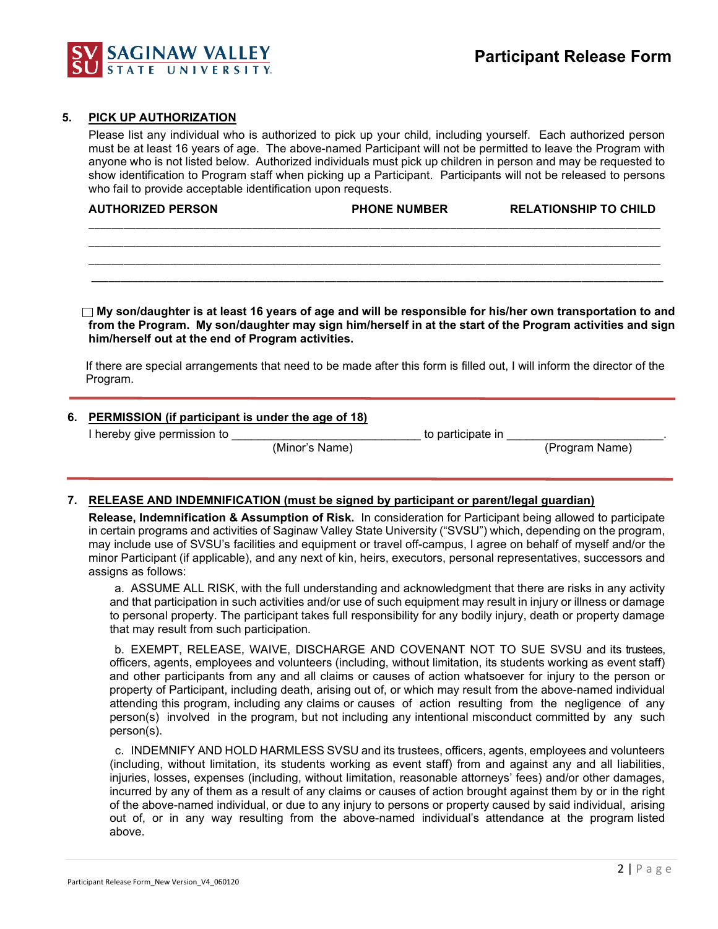

#### **5. PICK UP AUTHORIZATION**

Please list any individual who is authorized to pick up your child, including yourself. Each authorized person must be at least 16 years of age. The above-named Participant will not be permitted to leave the Program with anyone who is not listed below. Authorized individuals must pick up children in person and may be requested to show identification to Program staff when picking up a Participant. Participants will not be released to persons who fail to provide acceptable identification upon requests.

| <b>AUTHORIZED PERSON</b> | <b>PHONE NUMBER</b> | <b>RELATIONSHIP TO CHILD</b> |
|--------------------------|---------------------|------------------------------|
|                          |                     |                              |

\_\_\_\_\_\_\_\_\_\_\_\_\_\_\_\_\_\_\_\_\_\_\_\_\_\_\_\_\_\_\_\_\_\_\_\_\_\_\_\_\_\_\_\_\_\_\_\_\_\_\_\_\_\_\_\_\_\_\_\_\_\_\_\_\_\_\_\_\_\_\_\_\_\_\_\_\_\_\_\_\_\_\_\_\_\_\_\_\_\_\_\_\_\_\_\_\_\_ \_\_\_\_\_\_\_\_\_\_\_\_\_\_\_\_\_\_\_\_\_\_\_\_\_\_\_\_\_\_\_\_\_\_\_\_\_\_\_\_\_\_\_\_\_\_\_\_\_\_\_\_\_\_\_\_\_\_\_\_\_\_\_\_\_\_\_\_\_\_\_\_\_\_\_\_\_\_\_\_\_\_\_\_\_\_\_\_\_\_\_\_\_\_\_\_\_\_ \_\_\_\_\_\_\_\_\_\_\_\_\_\_\_\_\_\_\_\_\_\_\_\_\_\_\_\_\_\_\_\_\_\_\_\_\_\_\_\_\_\_\_\_\_\_\_\_\_\_\_\_\_\_\_\_\_\_\_\_\_\_\_\_\_\_\_\_\_\_\_\_\_\_\_\_\_\_\_\_\_\_\_\_\_\_\_\_\_\_\_\_\_\_\_\_\_\_

 **My son/daughter is at least 16 years of age and will be responsible for his/her own transportation to and from the Program. My son/daughter may sign him/herself in at the start of the Program activities and sign him/herself out at the end of Program activities.** 

If there are special arrangements that need to be made after this form is filled out, I will inform the director of the Program.

#### **6. PERMISSION (if participant is under the age of 18)**

I hereby give permission to \_\_\_\_\_\_\_\_\_\_\_\_\_\_\_\_\_\_\_\_\_\_\_\_\_\_\_\_\_ to participate in \_\_\_\_\_\_\_\_\_\_\_\_\_\_\_\_\_\_\_\_\_\_\_\_.

 $\overline{\text{(Minor's Name)}}$ 

### **7. RELEASE AND INDEMNIFICATION (must be signed by participant or parent/legal guardian)**

**Release, Indemnification & Assumption of Risk.** In consideration for Participant being allowed to participate in certain programs and activities of Saginaw Valley State University ("SVSU") which, depending on the program, may include use of SVSU's facilities and equipment or travel off-campus, I agree on behalf of myself and/or the minor Participant (if applicable), and any next of kin, heirs, executors, personal representatives, successors and assigns as follows:

a. ASSUME ALL RISK, with the full understanding and acknowledgment that there are risks in any activity and that participation in such activities and/or use of such equipment may result in injury or illness or damage to personal property. The participant takes full responsibility for any bodily injury, death or property damage that may result from such participation.

b. EXEMPT, RELEASE, WAIVE, DISCHARGE AND COVENANT NOT TO SUE SVSU and its trustees, officers, agents, employees and volunteers (including, without limitation, its students working as event staff) and other participants from any and all claims or causes of action whatsoever for injury to the person or property of Participant, including death, arising out of, or which may result from the above-named individual attending this program, including any claims or causes of action resulting from the negligence of any person(s) involved in the program, but not including any intentional misconduct committed by any such person(s).

c. INDEMNIFY AND HOLD HARMLESS SVSU and its trustees, officers, agents, employees and volunteers (including, without limitation, its students working as event staff) from and against any and all liabilities, injuries, losses, expenses (including, without limitation, reasonable attorneys' fees) and/or other damages, incurred by any of them as a result of any claims or causes of action brought against them by or in the right of the above-named individual, or due to any injury to persons or property caused by said individual, arising out of, or in any way resulting from the above-named individual's attendance at the program listed above.